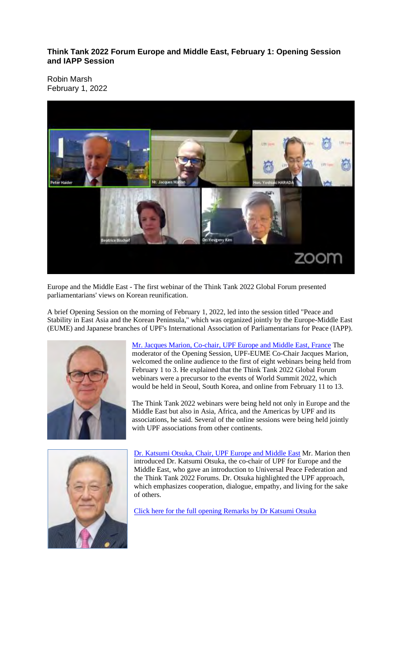#### **Think Tank 2022 Forum Europe and Middle East, February 1: Opening Session and IAPP Session**

Robin Marsh February 1, 2022



Europe and the Middle East - The first webinar of the Think Tank 2022 Global Forum presented parliamentarians' views on Korean reunification.

A brief Opening Session on the morning of February 1, 2022, led into the session titled "Peace and Stability in East Asia and the Korean Peninsula," which was organized jointly by the Europe-Middle East (EUME) and Japanese branches of UPF's International Association of Parliamentarians for Peace (IAPP).



Mr. Jacques Marion, Co-chair, UPF Europe and Middle East, France The moderator of the Opening Session, UPF-EUME Co-Chair Jacques Marion, welcomed the online audience to the first of eight webinars being held from February 1 to 3. He explained that the Think Tank 2022 Global Forum webinars were a precursor to the events of World Summit 2022, which would be held in Seoul, South Korea, and online from February 11 to 13.

The Think Tank 2022 webinars were being held not only in Europe and the Middle East but also in Asia, Africa, and the Americas by UPF and its associations, he said. Several of the online sessions were being held jointly with UPF associations from other continents.



Dr. Katsumi Otsuka, Chair, UPF Europe and Middle East Mr. Marion then introduced Dr. Katsumi Otsuka, the co-chair of UPF for Europe and the Middle East, who gave an introduction to Universal Peace Federation and the Think Tank 2022 Forums. Dr. Otsuka highlighted the UPF approach, which emphasizes cooperation, dialogue, empathy, and living for the sake of others.

Click here for the full opening Remarks by Dr Katsumi Otsuka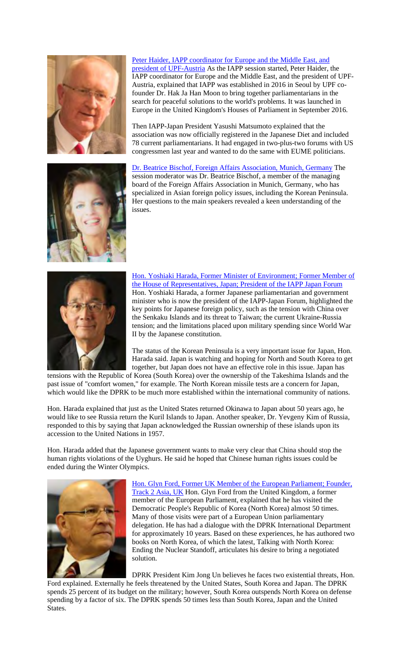



#### Peter Haider, IAPP coordinator for Europe and the Middle East, and

president of UPF-Austria As the IAPP session started, Peter Haider, the IAPP coordinator for Europe and the Middle East, and the president of UPF-Austria, explained that IAPP was established in 2016 in Seoul by UPF cofounder Dr. Hak Ja Han Moon to bring together parliamentarians in the search for peaceful solutions to the world's problems. It was launched in Europe in the United Kingdom's Houses of Parliament in September 2016.

Then IAPP-Japan President Yasushi Matsumoto explained that the association was now officially registered in the Japanese Diet and included 78 current parliamentarians. It had engaged in two-plus-two forums with US congressmen last year and wanted to do the same with EUME politicians.

Dr. Beatrice Bischof, Foreign Affairs Association, Munich, Germany The session moderator was Dr. Beatrice Bischof, a member of the managing board of the Foreign Affairs Association in Munich, Germany, who has specialized in Asian foreign policy issues, including the Korean Peninsula. Her questions to the main speakers revealed a keen understanding of the issues.



Hon. Yoshiaki Harada, Former Minister of Environment; Former Member of the House of Representatives, Japan; President of the IAPP Japan Forum Hon. Yoshiaki Harada, a former Japanese parliamentarian and government minister who is now the president of the IAPP-Japan Forum, highlighted the key points for Japanese foreign policy, such as the tension with China over the Senkaku Islands and its threat to Taiwan; the current Ukraine-Russia tension; and the limitations placed upon military spending since World War II by the Japanese constitution.

The status of the Korean Peninsula is a very important issue for Japan, Hon. Harada said. Japan is watching and hoping for North and South Korea to get together, but Japan does not have an effective role in this issue. Japan has

tensions with the Republic of Korea (South Korea) over the ownership of the Takeshima Islands and the past issue of "comfort women," for example. The North Korean missile tests are a concern for Japan, which would like the DPRK to be much more established within the international community of nations.

Hon. Harada explained that just as the United States returned Okinawa to Japan about 50 years ago, he would like to see Russia return the Kuril Islands to Japan. Another speaker, Dr. Yevgeny Kim of Russia, responded to this by saying that Japan acknowledged the Russian ownership of these islands upon its accession to the United Nations in 1957.

Hon. Harada added that the Japanese government wants to make very clear that China should stop the human rights violations of the Uyghurs. He said he hoped that Chinese human rights issues could be ended during the Winter Olympics.



Hon. Glyn Ford, Former UK Member of the European Parliament; Founder, Track 2 Asia, UK Hon. Glyn Ford from the United Kingdom, a former member of the European Parliament, explained that he has visited the Democratic People's Republic of Korea (North Korea) almost 50 times. Many of those visits were part of a European Union parliamentary delegation. He has had a dialogue with the DPRK International Department for approximately 10 years. Based on these experiences, he has authored two books on North Korea, of which the latest, Talking with North Korea: Ending the Nuclear Standoff, articulates his desire to bring a negotiated solution.

DPRK President Kim Jong Un believes he faces two existential threats, Hon. Ford explained. Externally he feels threatened by the United States, South Korea and Japan. The DPRK spends 25 percent of its budget on the military; however, South Korea outspends North Korea on defense spending by a factor of six. The DPRK spends 50 times less than South Korea, Japan and the United States.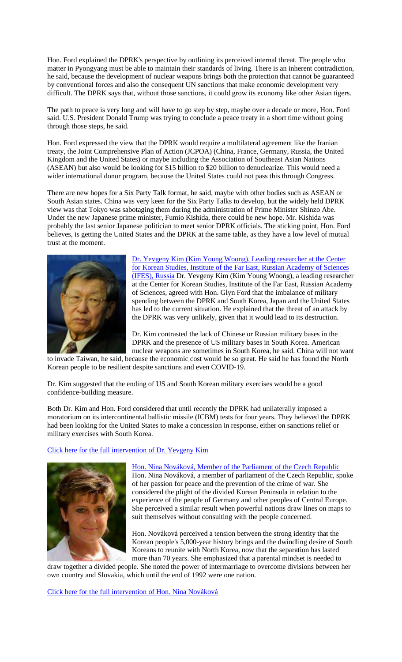Hon. Ford explained the DPRK's perspective by outlining its perceived internal threat. The people who matter in Pyongyang must be able to maintain their standards of living. There is an inherent contradiction, he said, because the development of nuclear weapons brings both the protection that cannot be guaranteed by conventional forces and also the consequent UN sanctions that make economic development very difficult. The DPRK says that, without those sanctions, it could grow its economy like other Asian tigers.

The path to peace is very long and will have to go step by step, maybe over a decade or more, Hon. Ford said. U.S. President Donald Trump was trying to conclude a peace treaty in a short time without going through those steps, he said.

Hon. Ford expressed the view that the DPRK would require a multilateral agreement like the Iranian treaty, the Joint Comprehensive Plan of Action (JCPOA) (China, France, Germany, Russia, the United Kingdom and the United States) or maybe including the Association of Southeast Asian Nations (ASEAN) but also would be looking for \$15 billion to \$20 billion to denuclearize. This would need a wider international donor program, because the United States could not pass this through Congress.

There are new hopes for a Six Party Talk format, he said, maybe with other bodies such as ASEAN or South Asian states. China was very keen for the Six Party Talks to develop, but the widely held DPRK view was that Tokyo was sabotaging them during the administration of Prime Minister Shinzo Abe. Under the new Japanese prime minister, Fumio Kishida, there could be new hope. Mr. Kishida was probably the last senior Japanese politician to meet senior DPRK officials. The sticking point, Hon. Ford believes, is getting the United States and the DPRK at the same table, as they have a low level of mutual trust at the moment.



Dr. Yevgeny Kim (Kim Young Woong), Leading researcher at the Center for Korean Studies, Institute of the Far East, Russian Academy of Sciences (IFES), Russia Dr. Yevgeny Kim (Kim Young Woong), a leading researcher at the Center for Korean Studies, Institute of the Far East, Russian Academy of Sciences, agreed with Hon. Glyn Ford that the imbalance of military spending between the DPRK and South Korea, Japan and the United States has led to the current situation. He explained that the threat of an attack by the DPRK was very unlikely, given that it would lead to its destruction.

Dr. Kim contrasted the lack of Chinese or Russian military bases in the DPRK and the presence of US military bases in South Korea. American nuclear weapons are sometimes in South Korea, he said. China will not want

to invade Taiwan, he said, because the economic cost would be so great. He said he has found the North Korean people to be resilient despite sanctions and even COVID-19.

Dr. Kim suggested that the ending of US and South Korean military exercises would be a good confidence-building measure.

Both Dr. Kim and Hon. Ford considered that until recently the DPRK had unilaterally imposed a moratorium on its intercontinental ballistic missile (ICBM) tests for four years. They believed the DPRK had been looking for the United States to make a concession in response, either on sanctions relief or military exercises with South Korea.

#### Click here for the full intervention of Dr. Yevgeny Kim



Hon. Nina Nováková, Member of the Parliament of the Czech Republic Hon. Nina Nováková, a member of parliament of the Czech Republic, spoke of her passion for peace and the prevention of the crime of war. She considered the plight of the divided Korean Peninsula in relation to the experience of the people of Germany and other peoples of Central Europe. She perceived a similar result when powerful nations draw lines on maps to suit themselves without consulting with the people concerned.

Hon. Nováková perceived a tension between the strong identity that the Korean people's 5,000-year history brings and the dwindling desire of South Koreans to reunite with North Korea, now that the separation has lasted more than 70 years. She emphasized that a parental mindset is needed to

draw together a divided people. She noted the power of intermarriage to overcome divisions between her own country and Slovakia, which until the end of 1992 were one nation.

Click here for the full intervention of Hon. Nina Nováková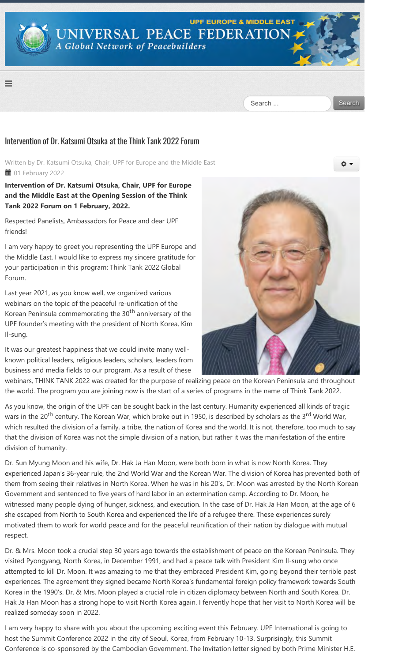

### Intervention of Dr. Katsumi Otsuka at the Think Tank 2022 Forum

Written by Dr. Katsumi Otsuka, Chair, UPF for Europe and the Middle East **■ 01 February 2022** 

### **Intervention of Dr. Katsumi Otsuka, Chair, UPF for Europe and the Middle East at the Opening Session of the Think Tank 2022 Forum on 1 February, 2022.**

Respected Panelists, Ambassadors for Peace and dear UPF friends!

I am very happy to greet you representing the UPF Europe and the Middle East. I would like to express my sincere gratitude for your participation in this program: Think Tank 2022 Global Forum.

Last year 2021, as you know well, we organized various webinars on the topic of the peaceful re-unification of the Korean Peninsula commemorating the 30<sup>th</sup> anniversary of the UPF founder's meeting with the president of North Korea, Kim Il‐sung.

It was our greatest happiness that we could invite many well‐ known political leaders, religious leaders, scholars, leaders from business and media fields to our program. As a result of these



webinars, THINK TANK 2022 was created for the purpose of realizing peace on the Korean Peninsula and throughout the world. The program you are joining now is the start of a series of programs in the name of Think Tank 2022.

As you know, the origin of the UPF can be sought back in the last century. Humanity experienced all kinds of tragic wars in the 20<sup>th</sup> century. The Korean War, which broke out in 1950, is described by scholars as the 3<sup>rd</sup> World War, which resulted the division of a family, a tribe, the nation of Korea and the world. It is not, therefore, too much to say that the division of Korea was not the simple division of a nation, but rather it was the manifestation of the entire division of humanity.

Dr. Sun Myung Moon and his wife, Dr. Hak Ja Han Moon, were both born in what is now North Korea. They experienced Japan's 36‐year rule, the 2nd World War and the Korean War. The division of Korea has prevented both of them from seeing their relatives in North Korea. When he was in his 20's, Dr. Moon was arrested by the North Korean Government and sentenced to five years of hard labor in an extermination camp. According to Dr. Moon, he witnessed many people dying of hunger, sickness, and execution. In the case of Dr. Hak Ja Han Moon, at the age of 6 she escaped from North to South Korea and experienced the life of a refugee there. These experiences surely motivated them to work for world peace and for the peaceful reunification of their nation by dialogue with mutual respect.

Dr. & Mrs. Moon took a crucial step 30 years ago towards the establishment of peace on the Korean Peninsula. They visited Pyongyang, North Korea, in December 1991, and had a peace talk with President Kim Il‐sung who once attempted to kill Dr. Moon. It was amazing to me that they embraced President Kim, going beyond their terrible past experiences. The agreement they signed became North Korea's fundamental foreign policy framework towards South Korea in the 1990's. Dr. & Mrs. Moon played a crucial role in citizen diplomacy between North and South Korea. Dr. Hak Ja Han Moon has a strong hope to visit North Korea again. I fervently hope that her visit to North Korea will be realized someday soon in 2022.

I am very happy to share with you about the upcoming exciting event this February. UPF International is going to host the Summit Conference 2022 in the city of Seoul, Korea, from February 10‐13. Surprisingly, this Summit Conference is co‐sponsored by the Cambodian Government. The Invitation letter signed by both Prime Minister H.E.

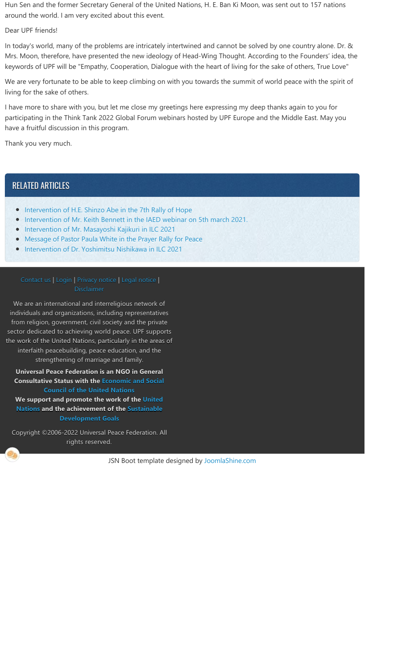Hun Sen and the former Secretary General of the United Nations, H. E. Ban Ki Moon, was sent out to 157 nations around the world. I am very excited about this event.

Dear UPF friends!

In today's world, many of the problems are intricately intertwined and cannot be solved by one country alone. Dr. & Mrs. Moon, therefore, have presented the new ideology of Head‐Wing Thought. According to the Founders' idea, the keywords of UPF will be "Empathy, Cooperation, Dialogue with the heart of living for the sake of others, True Love"

We are very fortunate to be able to keep climbing on with you towards the summit of world peace with the spirit of living for the sake of others.

I have more to share with you, but let me close my greetings here expressing my deep thanks again to you for participating in the Think Tank 2022 Global Forum webinars hosted by UPF Europe and the Middle East. May you have a fruitful discussion in this program.

Thank you very much.

## RELATED ARTICLES

- Intervention of H.E. Shinzo Abe in the 7th Rally of Hope
- **Intervention of Mr. Keith Bennett in the IAED webinar on 5th march 2021.**
- **Intervention of Mr. Masayoshi Kajikuri in ILC 2021**
- Message of Pastor Paula White in the Prayer Rally for Peace
- **Intervention of Dr. Yoshimitsu Nishikawa in ILC 2021**

#### Contact us | Login | Privacy notice | Legal notice | Disclaimer

We are an international and interreligious network of individuals and organizations, including representatives from religion, government, civil society and the private sector dedicated to achieving world peace. UPF supports the work of the United Nations, particularly in the areas of interfaith peacebuilding, peace education, and the strengthening of marriage and family.

**Universal Peace Federation is an NGO in General Consultative Status with the Economic and Social Council of the United Nations**

**We support and promote the work of the United Nations and the achievement of the Sustainable Development Goals**

Copyright ©2006‐2022 Universal Peace Federation. All rights reserved.

JSN Boot template designed by JoomlaShine.com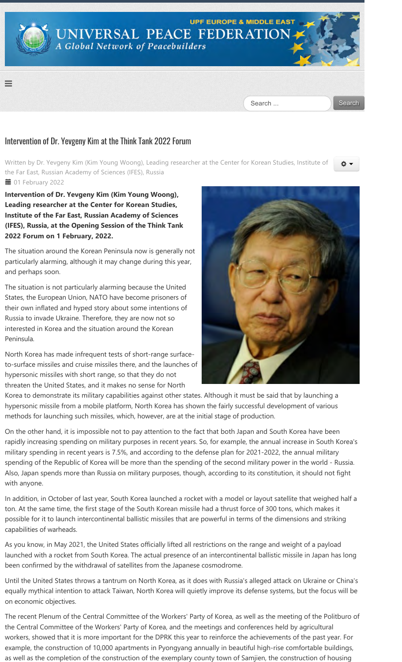

### Intervention of Dr. Yevgeny Kim at the Think Tank 2022 Forum

Written by Dr. Yevgeny Kim (Kim Young Woong), Leading researcher at the Center for Korean Studies, Institute of the Far East, Russian Academy of Sciences (IFES), Russia **■ 01 February 2022** 

Intervention of Dr. Yevgeny Kim (Kim Young Woong), **Leading researcher at the Center for Korean Studies, Institute of the Far East, Russian Academy of Sciences ﴾IFES﴿, Russia, at the Opening Session of the Think Tank 2022 Forum on 1 February, 2022.**

The situation around the Korean Peninsula now is generally not particularly alarming, although it may change during this year, and perhaps soon.

The situation is not particularly alarming because the United States, the European Union, NATO have become prisoners of their own inflated and hyped story about some intentions of Russia to invade Ukraine. Therefore, they are now not so interested in Korea and the situation around the Korean Peninsula.

North Korea has made infrequent tests of short‐range surface‐ to‐surface missiles and cruise missiles there, and the launches of hypersonic missiles with short range, so that they do not threaten the United States, and it makes no sense for North



O T

Korea to demonstrate its military capabilities against other states. Although it must be said that by launching a hypersonic missile from a mobile platform, North Korea has shown the fairly successful development of various methods for launching such missiles, which, however, are at the initial stage of production.

On the other hand, it is impossible not to pay attention to the fact that both Japan and South Korea have been rapidly increasing spending on military purposes in recent years. So, for example, the annual increase in South Korea's military spending in recent years is 7.5%, and according to the defense plan for 2021‐2022, the annual military spending of the Republic of Korea will be more than the spending of the second military power in the world ‐ Russia. Also, Japan spends more than Russia on military purposes, though, according to its constitution, it should not fight with anyone.

In addition, in October of last year, South Korea launched a rocket with a model or layout satellite that weighed half a ton. At the same time, the first stage of the South Korean missile had a thrust force of 300 tons, which makes it possible for it to launch intercontinental ballistic missiles that are powerful in terms of the dimensions and striking capabilities of warheads.

As you know, in May 2021, the United States officially lifted all restrictions on the range and weight of a payload launched with a rocket from South Korea. The actual presence of an intercontinental ballistic missile in Japan has long been confirmed by the withdrawal of satellites from the Japanese cosmodrome.

Until the United States throws a tantrum on North Korea, as it does with Russia's alleged attack on Ukraine or China's equally mythical intention to attack Taiwan, North Korea will quietly improve its defense systems, but the focus will be on economic objectives.

The recent Plenum of the Central Committee of the Workers' Party of Korea, as well as the meeting of the Politburo of the Central Committee of the Workers' Party of Korea, and the meetings and conferences held by agricultural workers, showed that it is more important for the DPRK this year to reinforce the achievements of the past year. For example, the construction of 10,000 apartments in Pyongyang annually in beautiful high-rise comfortable buildings, as well as the completion of the construction of the exemplary county town of Samjien, the construction of housing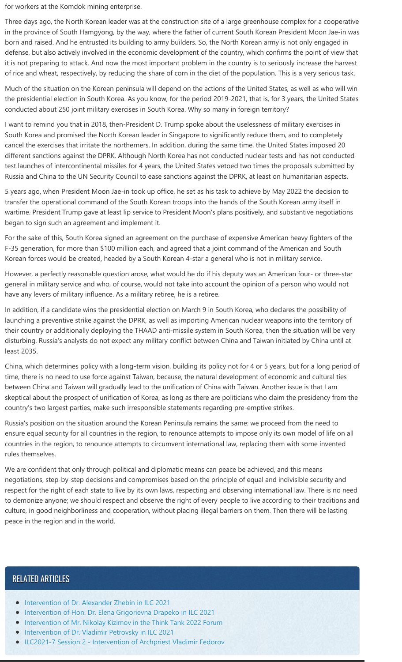for workers at the Komdok mining enterprise.

Three days ago, the North Korean leader was at the construction site of a large greenhouse complex for a cooperative in the province of South Hamgyong, by the way, where the father of current South Korean President Moon Jae-in was born and raised. And he entrusted its building to army builders. So, the North Korean army is not only engaged in defense, but also actively involved in the economic development of the country, which confirms the point of view that it is not preparing to attack. And now the most important problem in the country is to seriously increase the harvest of rice and wheat, respectively, by reducing the share of corn in the diet of the population. This is a very serious task.

Much of the situation on the Korean peninsula will depend on the actions of the United States, as well as who will win the presidential election in South Korea. As you know, for the period 2019‐2021, that is, for 3 years, the United States conducted about 250 joint military exercises in South Korea. Why so many in foreign territory?

I want to remind you that in 2018, then‐President D. Trump spoke about the uselessness of military exercises in South Korea and promised the North Korean leader in Singapore to significantly reduce them, and to completely cancel the exercises that irritate the northerners. In addition, during the same time, the United States imposed 20 different sanctions against the DPRK. Although North Korea has not conducted nuclear tests and has not conducted test launches of intercontinental missiles for 4 years, the United States vetoed two times the proposals submitted by Russia and China to the UN Security Council to ease sanctions against the DPRK, at least on humanitarian aspects.

5 years ago, when President Moon Jae‐in took up office, he set as his task to achieve by May 2022 the decision to transfer the operational command of the South Korean troops into the hands of the South Korean army itself in wartime. President Trump gave at least lip service to President Moon's plans positively, and substantive negotiations began to sign such an agreement and implement it.

For the sake of this, South Korea signed an agreement on the purchase of expensive American heavy fighters of the F‐35 generation, for more than \$100 million each, and agreed that a joint command of the American and South Korean forces would be created, headed by a South Korean 4‐star a general who is not in military service.

However, a perfectly reasonable question arose, what would he do if his deputy was an American four‐ or three‐star general in military service and who, of course, would not take into account the opinion of a person who would not have any levers of military influence. As a military retiree, he is a retiree.

In addition, if a candidate wins the presidential election on March 9 in South Korea, who declares the possibility of launching a preventive strike against the DPRK, as well as importing American nuclear weapons into the territory of their country or additionally deploying the THAAD anti‐missile system in South Korea, then the situation will be very disturbing. Russia's analysts do not expect any military conflict between China and Taiwan initiated by China until at least 2035.

China, which determines policy with a long‐term vision, building its policy not for 4 or 5 years, but for a long period of time, there is no need to use force against Taiwan, because, the natural development of economic and cultural ties between China and Taiwan will gradually lead to the unification of China with Taiwan. Another issue is that I am skeptical about the prospect of unification of Korea, as long as there are politicians who claim the presidency from the country's two largest parties, make such irresponsible statements regarding pre‐emptive strikes.

Russia's position on the situation around the Korean Peninsula remains the same: we proceed from the need to ensure equal security for all countries in the region, to renounce attempts to impose only its own model of life on all countries in the region, to renounce attempts to circumvent international law, replacing them with some invented rules themselves.

We are confident that only through political and diplomatic means can peace be achieved, and this means negotiations, step‐by‐step decisions and compromises based on the principle of equal and indivisible security and respect for the right of each state to live by its own laws, respecting and observing international law. There is no need to demonize anyone; we should respect and observe the right of every people to live according to their traditions and culture, in good neighborliness and cooperation, without placing illegal barriers on them. Then there will be lasting peace in the region and in the world.

# RELATED ARTICLES

- **Intervention of Dr. Alexander Zhebin in ILC 2021**
- **Intervention of Hon. Dr. Elena Grigorievna Drapeko in ILC 2021**
- **Intervention of Mr. Nikolay Kizimov in the Think Tank 2022 Forum**
- **Intervention of Dr. Vladimir Petrovsky in ILC 2021**
- ILC2021-7 Session 2 Intervention of Archpriest Vladimir Fedorov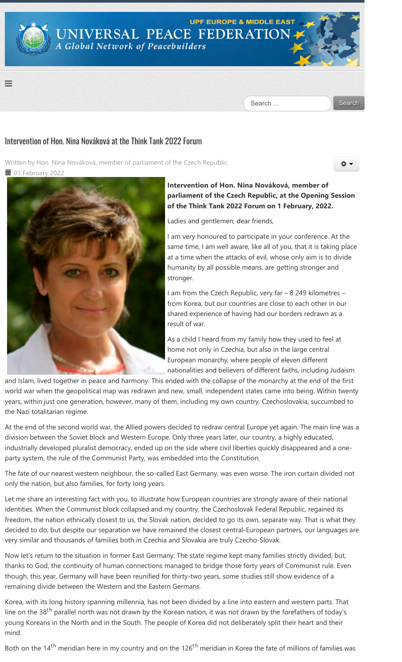

## Intervention of Hon. Nina Nováková at the Think Tank 2022 Forum

Written by Hon. Nina Nováková, member of parliament of the Czech Republic **■ 01 February 2022** 



#### **Intervention of Hon. Nina Nováková, member of parliament of the Czech Republic, at the Opening Session of the Think Tank 2022 Forum on 1 February, 2022.**

۰

Ladies and gentlemen, dear friends,

I am very honoured to participate in your conference. At the same time, I am well aware, like all of you, that it is taking place at a time when the attacks of evil, whose only aim is to divide humanity by all possible means, are getting stronger and stronger.

I am from the Czech Republic, very far – 8 249 kilometres – from Korea, but our countries are close to each other in our shared experience of having had our borders redrawn as a result of war.

As a child I heard from my family how they used to feel at home not only in Czechia, but also in the large central European monarchy, where people of eleven different nationalities and believers of different faiths, including Judaism

and Islam, lived together in peace and harmony. This ended with the collapse of the monarchy at the end of the first world war when the geopolitical map was redrawn and new, small, independent states came into being. Within twenty years, within just one generation, however, many of them, including my own country, Czechoslovakia, succumbed to the Nazi totalitarian regime.

At the end of the second world war, the Allied powers decided to redraw central Europe yet again. The main line was a division between the Soviet block and Western Europe. Only three years later, our country, a highly educated, industrially developed pluralist democracy, ended up on the side where civil liberties quickly disappeared and a one‐ party system, the rule of the Communist Party, was embedded into the Constitution.

The fate of our nearest western neighbour, the so-called East Germany, was even worse. The iron curtain divided not only the nation, but also families, for forty long years.

Let me share an interesting fact with you, to illustrate how European countries are strongly aware of their national identities. When the Communist block collapsed and my country, the Czechoslovak Federal Republic, regained its freedom, the nation ethnically closest to us, the Slovak nation, decided to go its own, separate way. That is what they decided to do, but despite our separation we have remained the closest central‐European partners, our languages are very similar and thousands of families both in Czechia and Slovakia are truly Czecho‐Slovak.

Now let's return to the situation in former East Germany. The state regime kept many families strictly divided, but, thanks to God, the continuity of human connections managed to bridge those forty years of Communist rule. Even though, this year, Germany will have been reunified for thirty‐two years, some studies still show evidence of a remaining divide between the Western and the Eastern Germans.

Korea, with its long history spanning millennia, has not been divided by a line into eastern and western parts. That line on the 38<sup>th</sup> parallel north was not drawn by the Korean nation, it was not drawn by the forefathers of today's young Koreans in the North and in the South. The people of Korea did not deliberately split their heart and their mind.

Both on the 14<sup>th</sup> meridian here in my country and on the 126<sup>th</sup> meridian in Korea the fate of millions of families was